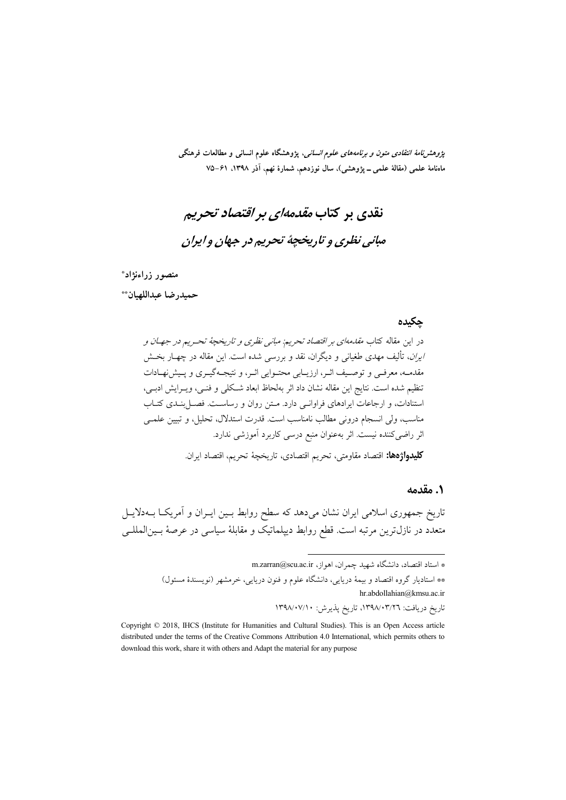*پژوهشنامهٔ انتقادی متون و برنامههای علوم انسانی*، پژوهشگاه علوم انسانی و مطالعات فرهنگی ماەنامۂ علمی (مقالۂ علمی ــ پژوهشی)، سال نوزدهم، شمارۂ نهم، آذر ۱۳۹۸، ۶۱–۷۵

# نقدی بر کتاب *مقدمهای بر اقتصاد تحریم* مباني نظري و تاريخچهٔ تحريم در جهان وايران

# منصور زراءنژاد\* حميدرضا عداللهبان\*\*

#### حكىدە

در این مقاله کتاب *مقدمهای بر اقتصاد تحریم: مبانی نظری و تاریخچهٔ تحریم در جهـان و ایران*، تألیف مهدی طغیانی و دیگران، نقد و بررسی شده است. این مقاله در چهـار بخــش مقدمـه، معرفـي و توصـيف اثـر، ارزيـابي محتـوابي اثـر، و نتيجـه گيـري و پـيش(نهـادات تنظیم شده است. نتایج این مقاله نشان داد اثر بهلحاظ ابعاد شکلی و فنـی، ویـرایش ادبـی، استنادات، و ارجاعات ایرادهای فراوانمی دارد. متن روان و رساست. فصل بندی کتـاب مناسب، ولي انسجام دروني مطالب نامناسب است. قدرت استدلال، تحليل، و تبيين علمـي اثر راضی کننده نیست. اثر بهعنوان منبع درسی کاربرد آموزشی ندارد.

**كليدواژهها:** اقتصاد مقاومتى، تحريم اقتصادى، تاريخچهٔ تحريم، اقتصاد ايران.

#### ٠. مقدمه

تاریخ جمهوری اسلامی ایران نشان میدهد که سطح روابط بسین ایـران و آمریکـا بــهدلایــل متعدد در نازلترین مرتبه است. قطع روابط دیپلماتیک و مقابلهٔ سیاسی در عرصهٔ بــینالمللــی

<sup>\*</sup> استاد اقتصاد، دانشگاه شهید چمران، اهواز، m.zarran@scu.ac.ir

<sup>\*\*</sup> استادیار گروه اقتصاد و بیمهٔ دریایی، دانشگاه علوم و فنون دریایی، خرمشهر (نویسندهٔ مسئول) hr.abdollahian@kmsu.ac.ir

تاريخ دريافت: ١٣٩٨/٠٣/٢٦، تاريخ يذيرش: ١٣٩٨/٠٧/١٠

Copyright © 2018, IHCS (Institute for Humanities and Cultural Studies). This is an Open Access article distributed under the terms of the Creative Commons Attribution 4.0 International, which permits others to download this work, share it with others and Adapt the material for any purpose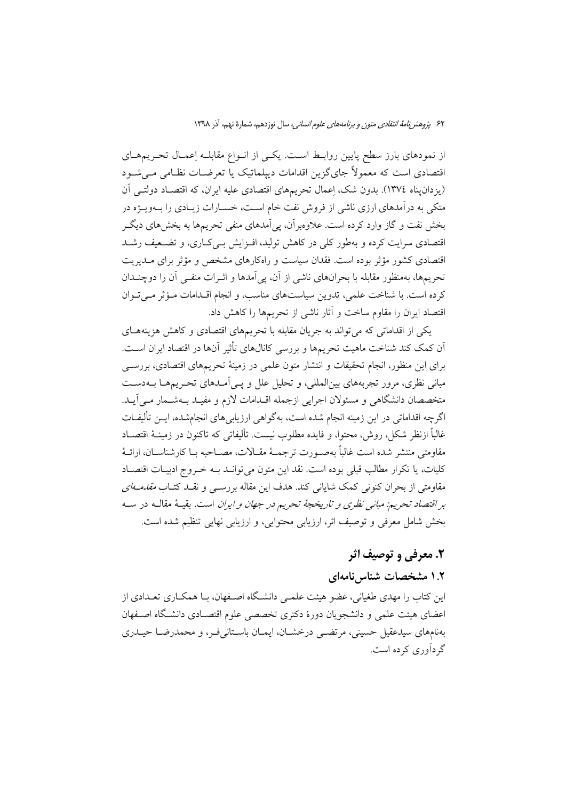از نمودهای بارز سطح پایین روابط است. یکهی از انـواع مقابلـه اِعمـال تحـریمهـای اقتصادی است که معمولاً جایگزین اقدامات دیپلماتیک یا تعرضـات نظـامی مـی شـود (يزدان پناه ١٣٧٤). بدون شک، اِعمال تحريمهاى اقتصادى عليه ايران، که اقتصـاد دولتــي آن متکی به درآمدهای ارزی ناشی از فروش نفت خام است، خســارات زیــادی را بــهویــژه در بخش نفت و گاز وارد کرده است. علاوهبر آن، پی آمدهای منفی تحریمها به بخش های دیگـر اقتصادی سرایت کرده و بهطور کلی در کاهش تولید، افـزایش بـیکاری، و تضـعیف رشـد اقتصادی کشور مؤثر بوده است. فقدان سیاست و راهکارهای مشخص و مؤثر برای مـدیریت تحریمها، بهمنظور مقابله با بحرانهای ناشی از آن، پی آمدها و اثـرات منفـی آن را دوچنــدان كرده است. با شناخت علمي، تدوين سياستهاى مناسب، و انجام اقـدامات مـؤثر مـى تـوان اقتصاد ایران را مقاوم ساخت و آثار ناشی از تحریمها را کاهش داد.

یکی از اقداماتی که می تواند به جریان مقابله با تحریمهای اقتصادی و کاهش هزینههـای اّن كمك كند شناخت ماهيت تحريمها و بررسي كانالهاي تأثير آنها در اقتصاد ايران اسـت. برای این منظور، انجام تحقیقات و انتشار متون علمی در زمینهٔ تحریمهای اقتصادی، بررســی مبانی نظری، مرور تجربههای بین|لمللی، و تحلیل علل و پـی|مـدهای تحـریمهـا بــهدسـت متخصصان دانشگاهی و مسئولان اجرایی ازجمله اقـدامات لازم و مفیـد بـهشـمار مـی]یـد. اگرچه اقداماتی در این زمینه انجام شده است، بهگواهی ارزیابی های انجامشده، ایــن تألیفــات غالباً ازنظر شکل، روش، محتوا، و فايده مطلوب نيست. تأليفاتي که تاکنون در زمينـۀ اقتصـاد مقاومتي منتشر شده است غالباً بهصـورت ترجمــهٔ مقــالات، مصــاحبه بــا كارشناســان، ارائــهٔ كليات، يا تكرار مطالب قبلي بوده است. نقد اين متون مي توانـد بـه خـروج ادبيـات اقتصـاد مقاومتی از بحران کنونی کمک شایانی کند. هدف این مقاله بررســی و نقــد کتــاب *مقدمــهای* بر اقتصاد تحريم: مباني نظري و تاريخچهٔ تحريم در جهان و ايران است. بقيـهٔ مقالـه در سـه بخش شامل معرفی و توصیف اثر، ارزیابی محتوایی، و ارزیابی نهایی تنظیم شده است.

# ٢. معرفي و توصيف اثر

#### ۱.۲ مشخصات شناس نامهای

این کتاب را مهدی طغیانی، عضو هیئت علمـی دانشـگاه اصـفهان، بـا همکــاری تعــدادی از اعضای هیئت علمی و دانشجویان دورهٔ دکتری تخصصی علوم اقتصـادی دانشـگاه اصـفهان بهنامهای سیدعقیل حسینی، مرتضــی درخشــان، ایمــان باســتانیفـر، و محمدرضــا حیــدری گر دآوری کرده است.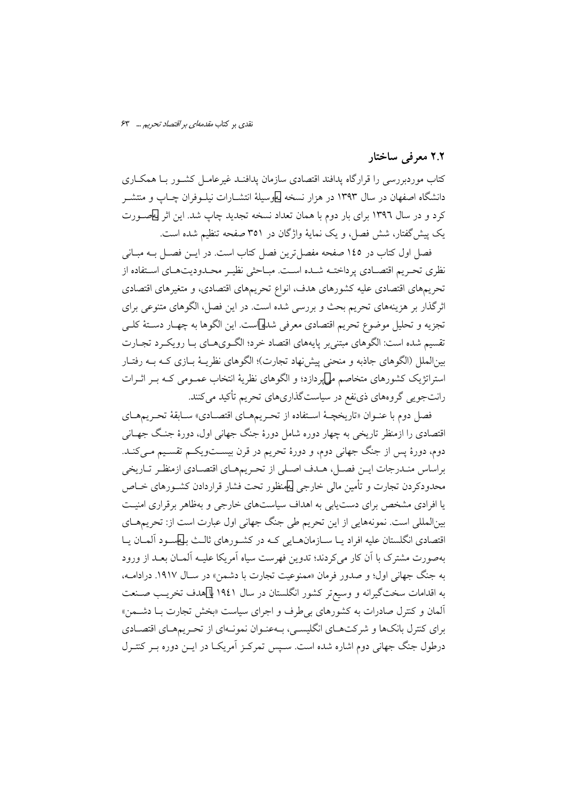## ۲.۲ معرفی ساختار

کتاب موردبررسی را قرارگاه پدافند اقتصادی سازمان پدافنـد غیرعامـل کشــور بــا همکــاری دانشگاه اصفهان در سال ۱۳۹۳ در هزار نسخه بهوسیلهٔ انتشـارات نیلــوفران چــاپ و منتشــر کرد و در سال ۱۳۹٦ برای بار دوم با همان تعداد نسخه تجدید چاپ شد. این اثر بهصورت یک پیش گفتار، شش فصل، و یک نمایهٔ واژگان در ۳۵۱ صفحه تنظیم شده است.

فصل اول کتاب در ۱٤٥ صفحه مفصل ترين فصل کتاب است. در ايــن فصــل بــه مبــاني نظري تحريم اقتصـادي پرداختــه شــده اسـت. مبـاحثي نظيـر محـدوديتهـاي اسـتفاده از تحریمهای اقتصادی علیه کشورهای هدف، انواع تحریمهای اقتصادی، و متغیرهای اقتصادی اثرگذار بر هزینههای تحریم بحث و بررسی شده است. در این فصل، الگوهای متنوعی برای تجزيه و تحليل موضوع تحريم اقتصادي معرفي شده است. اين الگوها به چهـار دســتهٔ كلــي تقسیم شده است: الگوهای مبتنی بر پایههای اقتصاد خرد؛ الگـویهـای بـا رویکـرد تجـارت بینالملل (الگوهای جاذبه و منحنی پیش;هاد تجارت)؛ الگوهای نظریـهٔ بــازی کـه بــه رفتــار استراتژیک کشورهای متخاصم می پردازد؛ و الگوهای نظریهٔ انتخاب عمـومی کـه بـر اثـرات رانتجویی گروههای ذی نفع در سیاستگذاریهای تحریم تأکید میکنند.

فصل دوم با عنـوان «تاريخچـهٔ اسـتفاده از تحـريمهـاي اقتصـادي» سـابقهٔ تحـريمهـاي اقتصادی را ازمنظر تاریخی به چهار دوره شامل دورهٔ جنگ جهانی اول، دورهٔ جنگ جهــانی دوم، دورۂ پس از جنگ جهانی دوم، و دورۂ تحریم در قرن بیســتویکــم تقسـیم مــیکنــد. براساس منـدرجات ايــن فصــل، هــدف اصــلي از تحـريمهــاي اقتصــادي ازمنظـر تــاريخي محدودکردن تجارت و تأمین مالی خارجی بهمنظور تحت فشار قراردادن کشـورهای خــاص یا افرادی مشخص برای دست یابی به اهداف سیاستهای خارجی و بهظاهر برقراری امنیت بینالمللی است. نمونههایی از این تحریم طی جنگ جهانی اول عبارت است از: تحریمهـای اقتصادی انگلستان علیه افراد یـا ســازمانهــایی کــه در کشــورهای ثالــث بــهســود آلمــان یــا بهصورت مشترک با اَن کار می کردند؛ تدوین فهرست سیاه اَمریکا علیـه اَلمـان بعـد از ورود به جنگ جهانی اول؛ و صدور فرمان «ممنوعیت تجارت با دشمن» در سـال ۱۹۱۷. درادامــه، به اقدامات سختگیرانه و وسیعتر کشور انگلستان در سال ۱۹٤۱ با هدف تخریـب صـنعت آلمان و کنترل صادرات به کشورهای بی طرف و اجرای سیاست «بخش تجارت بـا دشـمن» برای کنترل بانکها و شرکتهـای انگلیسـی، بـهعنـوان نمونـهای از تحـریمهـای اقتصـادی درطول جنگ جهانی دوم اشاره شده است. سـیس تمرکـز آمریکـا در ایــن دوره بــر کنتــرل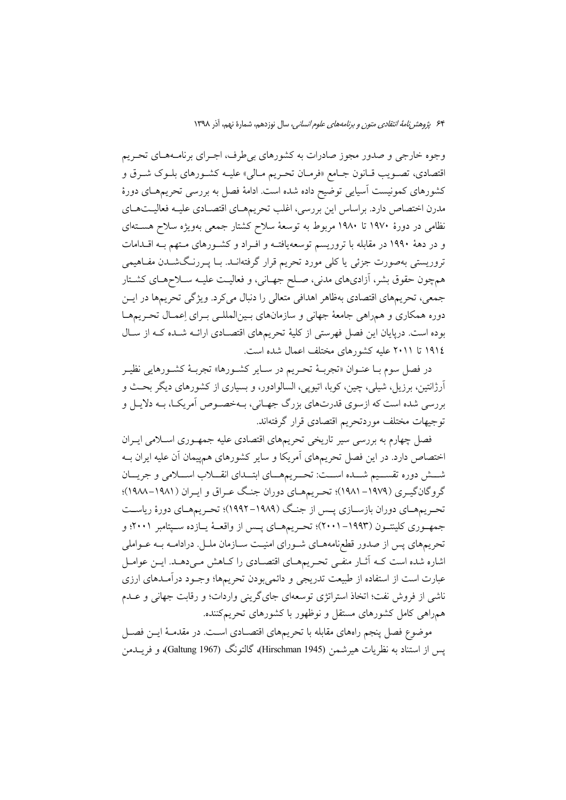وجوه خارجي و صدور مجوز صادرات به كشورهاي بي طرف، اجـراي برنامـههـاي تحـريم اقتصادي، تصـويب قـانون جـامع «فرمـان تحـريم مـالي» عليـه كشـورهاي بلـوك شـرق و کشورهای کمونیست آسیایی توضیح داده شده است. ادامهٔ فصل به بررسی تحریمهـای دورهٔ مدرن اختصاص دارد. براساس این بررسی، اغلب تحریمهـای اقتصـادی علیـه فعالیـتهـای نظامی در دورهٔ ۱۹۷۰ تا ۱۹۸۰ مربوط به توسعهٔ سلاح کشتار جمعی بهویژه سلاح هستهای و در دههٔ ۱۹۹۰ در مقابله با تروریسم توسعهیافتـه و افـراد و کشـورهای مـتهم بـه اقـدامات تروریستی بهصورت جزئی یا کلی مورد تحریم قرار گرفتهانــد. بــا پــررنــگشـــدن مفــاهیمی همچون حقوق بشر، اَزادیهای مدنی، صـلح جهـانی، و فعالیـت علیـه سـلاحهـای کشـتار جمعی، تحریمهای اقتصادی بهظاهر اهدافی متعالی را دنبال میکرد. ویژگی تحریمها در ایس دوره همکاری و همراهی جامعهٔ جهانی و سازمانهای بـینالمللـی بـرای اِعمـال تحـریمهـا بوده است. درپایان این فصل فهرستی از کلیهٔ تحریمهای اقتصـادی ارائـه شـده کـه از سـال ١٩١٤ تا ٢٠١١ عليه كشورهاى مختلف اعمال شده است.

در فصاً سوم بـا عنـوان «تجربـهٔ تحـريم در سـاير كشـورها» تجربـهٔ كشـورهايي نظيـر آرژانتین، برزیل، شیلی، چین، کوبا، اتیوپی، السالوادور، و بسیاری از کشورهای دیگر بحـث و بررسی شده است که ازسوی قدرتهای بزرگ جهـانی، بـهخصـوص اَمریکـا، بـه دلایـل و توجیهات مختلف موردتحریم اقتصادی قرار گرفتهاند.

فصل چهارم به بررسی سیر تاریخی تحریمهای اقتصادی علیه جمهـوری اسـلامی ایـران اختصاص دارد. در این فصل تحریمهای آمریکا و سایر کشورهای همهیمان آن علیه ایران بــه شــش دوره تقســيم شــده اســت: تحــريمهــاي ابتــداي انقـــلاب اســـلامي و جريـــان گروگانگیری (۱۹۷۹–۱۹۸۱)؛ تحریمهای دوران جنگ عراق و ایران (۱۹۸۱–۱۹۸۸)؛ تحریمهمای دوران بازسـازی پـس از جنـگ (۱۹۸۹-۱۹۹۲)؛ تحـریمهمای دورهٔ ریاسـت جمهـوري كلينتـون (١٩٩٣–٢٠٠١)؛ تحـريمهـاي يـس از واقعــهٔ يــازده ســيتامبر ٢٠٠١؛ و تحریمهای پس از صدور قطعنامههـای شـورای امنیـت سـازمان ملـل. درادامـه بـه عـواملی اشاره شده است کـه آثــار منفــي تحــريمهــاي اقتصــادي را کــاهش مــيدهــد. ايــن عوامــل عبارت است از استفاده از طبیعت تدریجی و دائمی بودن تحریمها؛ وجـود درآمـدهای ارزی ناشی از فروش نفت؛ اتخاذ استراتژی توسعهای جایگرینی واردات؛ و رقابت جهانی و عــدم همراهی کامل کشورهای مستقل و نوظهور با کشورهای تحریمکننده.

موضوع فصل ينجم راههاي مقابله با تحريمهاي اقتصـادي اسـت. در مقدمــهٔ ايــن فصــل يس از استناد به نظريات هيرشمن (Hirschman 1945)، گالتونگ (Galtung 1967)، و فريـــدمن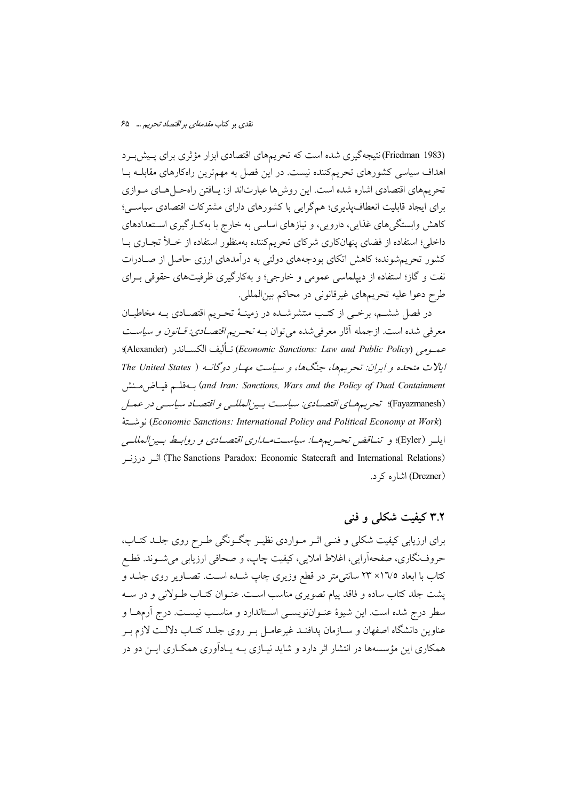(Friedman 1983) نتیجه گیری شده است که تحریمهای اقتصادی ابزار مؤثری برای پیش برد اهداف سیاسی کشورهای تحریمکننده نیست. در این فصل به مهم ترین راهکارهای مقابلـه بــا تحریمهای اقتصادی اشاره شده است. این روشها عبارتاند از: پافتن راهحل های موازی برای آیجاد قابلیت انعطاف پذیری؛ همگرایی با کشورهای دارای مشترکات اقتصادی سیاســی؛ کاهش وابستگی های غذایی، دارویی، و نیازهای اساسی به خارج با بهکـارگیری اسـتعدادهای داخلی؛ استفاده از فضای پنهانکاری شرکای تحریمکننده بهمنظور استفاده از خـلأ تجـاری بـا کشور تحریمشونده؛ کاهش اتکای بودجههای دولتی به درآمدهای ارزی حاصل از صـادرات نفت و گاز؛ استفاده از دیپلماسی عمومی و خارجی؛ و بهکارگیری ظرفیتهای حقوقی بـرای طرح دعوا عليه تحريمهاي غيرقانوني در محاكم بين|لمللي.

در فصل ششم، برخمی از کتب منتشرشـده در زمینـهٔ تحـریم اقتصـادی بـه مخاطبـان معرفی شده است. ازجمله آثار معرفیشده میتوان بـه *تحـریم اقتصــادی: قــانون و سیاســت* عمسومي (Economic Sanctions: Law and Public Policy): تـأليف الكســاندر (Alexander)؛ ایالات متحده و ایران: تحریمها، جنگها، و سیاست مهـار دوگانـه ( The United States and Iran: Sanctions, Wars and the Policy of Dual Containment) بــهقلــم فيــاض0مــنش (Fayazmanesh)؛ تحريم هياي اقتصادي: سياست بين المللي و اقتصاد سياسي در عميل (Economic Sanctions: International Policy and Political Economy at Work) نوشتهْ ايلير (Eyler)؛ و تنساقض تحسريمهمـا: سياسـتهـاراري اقتصـادي و روابـط بـين|لمللـي (The Sanctions Paradox: Economic Statecraft and International Relations) اثر درزنر (Drezner) اشاره کړ د.

۳.۲ کیفیت شکلی و فنی

برای ارزیابی کیفیت شکلی و فنـی اثـر مـواردی نظیـر چگـونگی طـرح روی جلـد کتـاب، حروف نگاري، صفحهآرايي، اغلاط املايي، کيفيت چاپ، و صحافي ارزيابي مي شوند. قطـع کتاب با ابعاد ٧٥٪× ٢٣ سانتيءتر در قطع وزيري چاپ شـده اسـت. تصـاوير روي جلـد و پشت جلد کتاب ساده و فاقد پیام تصویری مناسب اسـت. عنـوان کتـاب طـولانی و در سـه سطر درج شده است. این شیوهٔ عنـوانiویسـی اسـتاندارد و مناسـب نیسـت. درج آرمهـا و عناوین دانشگاه اصفهان و ســازمان یدافنــد غیرعامــل بــر روی جلــد کتــاب دلالــت لازم بــر همکاری این مؤسسهها در انتشار اثر دارد و شاید نیـازی بــه یــادآوری همکــاری ایـــ; دو در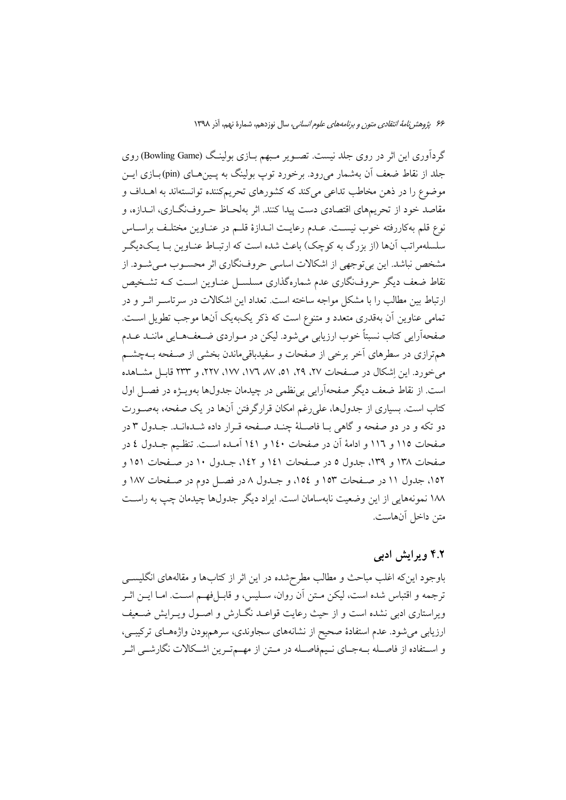گردآوری این اثر در روی جلد نیست. تصـویر مـبهم بـازی بولینـگ (Bowling Game) روی جلد از نقاط ضعف آن بهشمار میرود. برخورد توپ بولینگ به پـینهـای (pin)بـازی ایـن موضوع را در ذهن مخاطب تداعی میکند که کشورهای تحریمکننده توانستهاند به اهــداف و مقاصد خود از تحریمهای اقتصادی دست پیدا کنند. اثر بهلحـاظ حـروفنگـاری، انــدازه، و نوع قلم بهكاررفته خوب نيست. عـدم رعايـت انـدازهٔ قلـم در عنـاوين مختلـف براسـاس سلسلهمراتب آنها (از بزرگ به کوچک) باعث شده است که ارتبـاط عنـاوین بـا یـکدیگـر مشخص نباشد. این بیتوجهی از اشکالات اساسی حروف نگاری اثر محسـوب مـیشـود. از نقاط ضعف دیگر حروف نگاری عدم شمارهگذاری مسلسـل عنــاوین اسـت کــه تشــخیص ارتباط بین مطالب را با مشکل مواجه ساخته است. تعداد این اشکالات در سرتاسـر اثــر و در تمامی عناوین آن بهقدری متعدد و متنوع است که ذکر یکبهیک آنها موجب تطویل است. صفحهآرایی کتاب نسبتاً خوب ارزیابی می شود. لیکن در مـواردی ضـعف۱صایی ماننـد عـدم همترازی در سطرهای آخر برخی از صفحات و سفیدباقیماندن بخشی از صـفحه بــهچشــم می خورد. این اِشکال در صفحات ۲۷، ۲۹، ۵۱، ۸۷، ۱۷۷، ۱۷۷، ۲۲۷، و ۲۳۳ قابـل مشـاهده است. از نقاط ضعف دیگر صفحهآرایی بی نظمی در چیدمان جدولها بهویـژه در فصـل اول کتاب است. بسیاری از جدولها، علی رغم امکان قرارگرفتن آنها در یک صفحه، بهصـورت دو تکه و در دو صفحه و گاهی بـا فاصـلهٔ چنــد صـفحه قــرار داده شــدهانــد. جــدول ۳ در صفحات ١١٥ و ١١٦ و ادامهٔ آن در صفحات ١٤٠ و ١٤١ آمـده اسـت. تنظـيم جـدول ٤ در صفحات ۱۳۸ و ۱۳۹، جدول ۵ در صفحات ۱٤۱ و ۱٤۲، جـدول ۱۰ در صـفحات ۱۵۱ و ۱۵۲، جدول ۱۱ در صفحات ۱۵۳ و ۱۵٤، و جـدول ۸ در فصـل دوم در صـفحات ۱۸۷ و ۱۸۸ نمونههایی از این وضعیت نابهسامان است. ایراد دیگر جدولها چیدمان چپ به راسـت متن داخل آنهاست.

# ۴.۲ ویرایش ادبی

باوجود این که اغلب مباحث و مطالب مطرح شده در این اثر از کتابها و مقالههای انگلیســی ترجمه و اقتباس شده است، ليكن مـتن آن روان، سـليس، و قابـلفهـم اسـت. امـا ايــن اثــر ویراستاری ادبی نشده است و از حیث رعایت قواعـد نگــارش و اصــول ویــرایش ضــعیف ارزیابی میشود. عدم استفادهٔ صحیح از نشانههای سجاوندی، سرهمبودن واژههای ترکیبی، و استفاده از فاصـله بــهجــاي نــيمفاصــله در مــتن از مهــمتـرين اشــكالات نگارشــي اثــر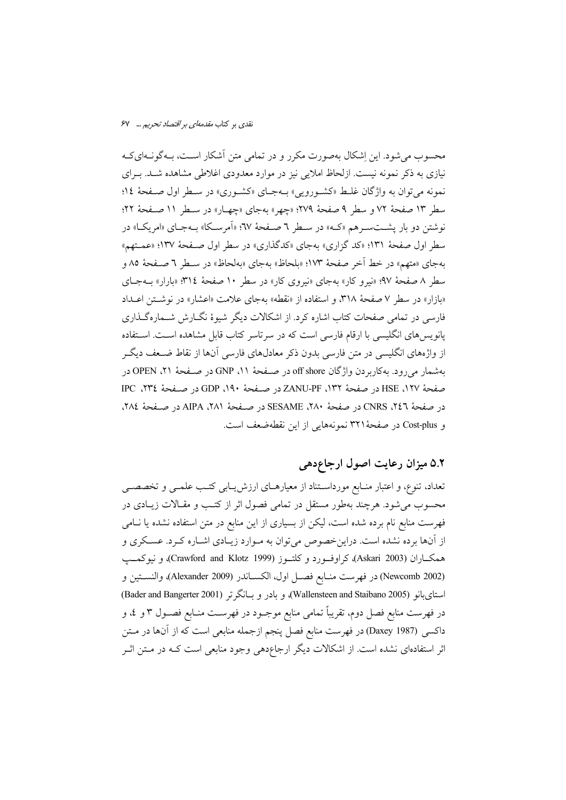محسوب می شود. این اِشکال بهصورت مکرر و در تمامی متن آشکار است، بـه گونـهایکـه نیازی به ذکر نمونه نیست. ازلحاظ املایی نیز در موارد معدودی اغلاطی مشاهده شـد. بـرای نمونه مي توان به واژگان غلط «كشورويي» بـهجـاي «كشـوري» در سـطر اول صـفحهٔ ١٤؛ سطر ١٣ صفحة ٧٢ و سطر ٩ صفحة ٢٧٩؛ «چهر» بهجاي «چهار» در سـطر ١١ صـفحة ٢٢؛ نوشتن دو بار پشـتسـرهم «کـه» در سـطر ٦ صـفحهٔ ٦٧؛ «اَمرسـکا» بـهجـای «امریکـا» در سطر اول صفحهٔ ۱۳۱؛ «کد گزاری» بهجای «کدگذاری» در سطر اول صفحهٔ ۱۳۷؛ «عمـتهم» بهجاي «متهم» در خط اَخر صفحهٔ ۱۷۳؛ «بلحاظ» بهجاي «بهلحاظ» در سـطر ٦ صـفحهٔ ٨٥ و سطر ۸ صفحهٔ ۹۷؛ «نیرو کار» بهجای «نیروی کار» در سطر ۱۰ صفحهٔ ۳۱٤؛ «بارار» بـهجـای «بازار» در سطر ۷ صفحهٔ ۳۱۸، و استفاده از «نقطه» بهجای علامت «اعشار» در نوشتن اعـداد فارسی در تمامی صفحات کتاب اشاره کرد. از اشکالات دیگر شیوهٔ نگــارش شــمارهگــذاری پانویس های انگلیسی با ارقام فارسی است که در سرتاسر کتاب قابل مشاهده اسـت. اسـتفاده از واژههای انگلیسی در متن فارسی بدون ذکر معادلهای فارسی آنها از نقاط ضـعف دیگـر بهشمار می رود. بهکاربردن واژگان off shore در صفحهٔ ۱۱، GNP در صفحهٔ ۲۱، OPEN در صفحة ١٢٧، HSE در صفحة ١٣٢، ZANU-PF در صفحة ١٩٠، GDP در صفحة ٢٣٤، IPC در صفحة ٢٤٦، CNRS در صفحة ٢٨٠، SESAME در صفحة ٢٨١، AIPA در صفحة ٢٨٤، و Cost-plus در صفحهٔ ۳۲۱ نمونههایی از این نقطهضعف است.

# ۵.۲ میزان رعایت اصول ارجاعدهی

تعداد، تنوع، و اعتبار منـابع مورداسـتناد از معیارهـای ارزش2یـابی کتـب علمـی و تخصصـی محسوب می شود. هرچند بهطور مستقل در تمامی فصول اثر از کتب و مقـالات زیـادی در فهرست منابع نام برده شده است، لیکن از بسیاری از این منابع در متن استفاده نشده یا نــامی از آنها برده نشده است. دراینخصوص میتوان به مـوارد زیـادی اشـاره کـرد. عسـکری و همكساران (Askari 2003)، كراوف ورد و كلتسوز (Crawford and Klotz 1999)، و نيوكمسپ (Newcomb 2002) در فهرست منـابع فصـل اول، الكسـاندر (Alexander 2009)، والنسـتين و استای بانو (Wallensteen and Staibano 2005)، و بادر و بـانگرتر (Bader and Bangerter 2001) در فهرست منابع فصل دوم، تقریباً تمامی منابع موجــود در فهرســت منــابع فصــول ٣ و ٤، و داکسی (Daxey 1987) در فهرست منابع فصل پنجم ازجمله منابعی است که از آنها در مــتن اثر استفادهای نشده است. از اشکالات دیگر ارجاعدهی وجود منابعی است کـه در مـتن اثـر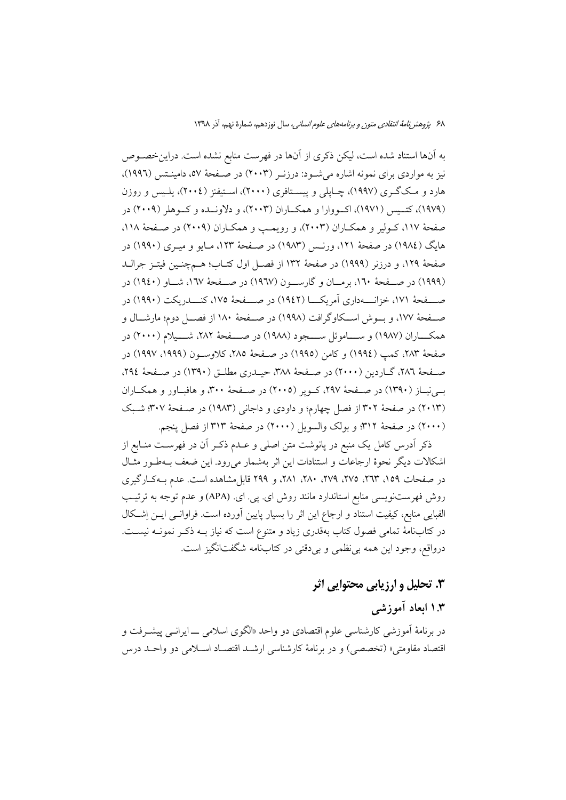به آنها استناد شده است، لیکن ذکری از آنها در فهرست منابع نشده است. دراینخصــوص نیز به مواردی برای نمونه اشاره می شـود: درزنـر (۲۰۰۳) در صـفحهٔ ۵۷، دامینـتس (۱۹۹۶)، هارد و مکگری (۱۹۹۷)، چـاپلی و پیســتافری (۲۰۰۰)، اســتیفنز (۲۰۰٤)، یلــیس و روزن (۱۹۷۹)، کتـیس (۱۹۷۱)، اکـووارا و همکــاران (۲۰۰۳)، و دلاونــده و کــوهلر (۲۰۰۹) در صفحهٔ ۱۱۷، کـولير و همکـاران (۲۰۰۳)، و رويمـپ و همکـاران (۲۰۰۹) در صـفحهٔ ۱۱۸، هایگ (١٩٨٤) در صفحهٔ ١٢١، ورنـس (١٩٨٣) در صـفحهٔ ١٢٣، مـایو و میـری (١٩٩٠) در صفحهٔ ۱۲۹، و درزنر (۱۹۹۹) در صفحهٔ ۱۳۲ از فصـل اول کتـاب؛ هـمچنـین فیتـز جرالـد (۱۹۹۹) در صفحهٔ ۱۶۰، برمـان و گارسـون (۱۹۶۷) در صـفحهٔ ۱۷، شـاو (۱۹٤۰) در صـــفحهٔ ۱۷۱، خزانـــهداري آمريكـــا (۱۹٤۲) در صـــفحهٔ ۱۷۵، كنـــدريكت (۱۹۹۰) در صــفحهٔ ۱۷۷، و بــوش اســکاوگرافت (۱۹۹۸) در صــفحهٔ ۱۸۰ از فصـــل دوم؛ مارشـــال و همکــــاران (١٩٨٧) و ســـــاموئل ســــجود (١٩٨٨) در صــــفحهٔ ٢٨٢، شــــيلام (٢٠٠٠) در صفحهٔ ۲۸۳، کمپ (۱۹۹٤) و کامن (۱۹۹۵) در صـفحهٔ ۲۸۵، کلاوسـون (۱۹۹۹، ۱۹۹۷) در صفحهٔ ۲۸۲، گـاردین (۲۰۰۰) در صفحهٔ ۳۸۸، حیـدری مطلـق (۱۳۹۰) در صـفحهٔ ۲۹٤، بسي نيــاز (١٣٩٠) در صــفحهٔ ٢٩٧، كــوير (٢٠٠٥) در صــفحهٔ ٣٠٠، و هافبــاور و همكــاران (۲۰۱۳) در صفحهٔ ۳۰۲ از فصل چهارم؛ و داودی و داجانی (۱۹۸۳) در صفحهٔ ۳۰۷؛ شبک (۲۰۰۰) در صفحهٔ ۳۱۲؛ و بولک والسویل (۲۰۰۰) در صفحهٔ ۳۱۳ از فصل پنجم.

ذکر آدرس کامل یک منبع در یانوشت متن اصلی و عــدم ذکــر آن در فهرســت منــابع از اشکالات دیگر نحوهٔ ارجاعات و استنادات این اثر بهشمار میرود. این ضعف بـهطـور مثـال در صفحات ١٥٩، ٢٦٣، ٢٧٥، ٢٧٩، ٢٨٠، ٢٨١، و ٢٩٩ قابلِ مشاهده است. عدم بـهكـارگيري روش فهرستنویسی منابع استاندارد مانند روش ای. پی. ای. (APA) و عدم توجه به ترتیب الفبايي منابع، كيفيت استناد و ارجاع اين اثر را بسيار پايين آورده است. فراوانـي ايـن اِشـكال در کتابنامهٔ تمامی فصول کتاب بهقدری زیاد و متنوع است که نیاز بــه ذکــر نمونــه نیســت. درواقع، وجود این همه بی'ظمی و بیدقتی در کتابانامه شگفتانگیز است.

## ۳. تحلیل و ارزیابی محتوایی اثر

# ۱.۳ ابعاد آموزشی

در برنامهٔ اَموزشی کارشناسی علوم اقتصادی دو واحد «الگوی اسلامی ـــ ایرانــی پیشــرفت و اقتصاد مقاومتي» (تخصصي) و در برنامهٔ كارشناسي ارشـد اقتصـاد اسـلامي دو واحـد درس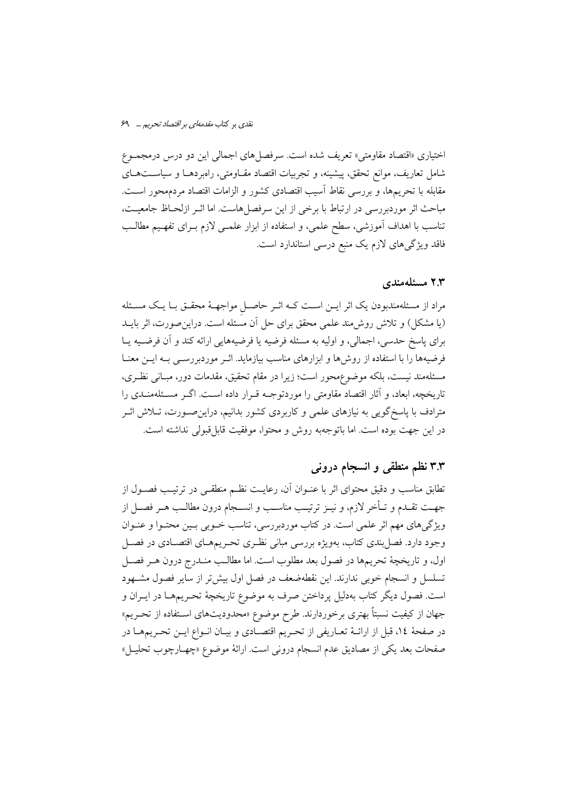اختیاری «اقتصاد مقاومتی» تعریف شده است. سرفصل های اجمالی این دو درس درمجموع شامل تعاریف، موانع تحقق، پیشینه، و تجربیات اقتصاد مقــاومتی، راهبردهــا و سیاســتهــای مقابله با تحریمها، و بررسی نقاط آسیب اقتصادی کشور و الزامات اقتصاد مردممحور است. مباحث اثر موردبررسی در ارتباط با برخی از این سرفصل هاست. اما اثـر ازلحـاظ جامعیـت، تناسب با اهداف آموزشی، سطح علمی، و استفاده از ابزار علمـی لازم بـرای تفهـیم مطالـب فاقد ویژگیهای لازم یک منبع درسی استاندارد است.

#### ۲.۳ مسئلەمندى

مراد از مسئلهمندبودن یک اثر ایــن اسـت کــه اثــر حاصــل مواجهــهٔ محقــق بــا یــک مســئله (یا مشکل) و تلاش روش.مند علمی محقق برای حل آن مسئله است. دراین صورت، اثر بایــد برای پاسخ حدسی، اجمالی، و اولیه به مسئله فرضیه یا فرضیههایی ارائه کند و آن فرضـیه یــا فرضیهها را با استفاده از روش ها و ابزارهای مناسب بیازماید. اثـر موردبررســی بـه ایــن معنــا مسئلهمند نیست، بلکه موضوعٖمحور است؛ زیرا در مقام تحقیق، مقدمات دور، مبـانـی نظـری، تاریخچه، ابعاد، و آثار اقتصاد مقاومتی را موردتوجـه قـرار داده اسـت. اگـر مسـئلهمنــدی را مترادف با پاسخگویی به نیازهای علمی و کاربردی کشور بدانیم، دراین صـورت، تــلاش اثــر در این جهت بوده است. اما باتوجهبه روش و محتوا، موفقیت قابل قبولی نداشته است.

# ۳.۳ نظم منطقی و انسجام درونی

تطابق مناسب و دقیق محتوای اثر با عنــوان آن، رعایــت نظــم منطقــی در ترتیـب فصــول از جهــت تقــدم و تــأخر لازم، و نيــز ترتيــب مناســب و انســجام درون مطالــب هــر فصــل از ویژگیهای مهم اثر علمی است. در کتاب موردبررسی، تناسب خــوبی بــین محتــوا و عنــوان وجود دارد. فصل بندی کتاب، بهویژه بررسی مبانی نظـری تحـریمهـای اقتصـادی در فصــل اول، و تاريخچهٔ تحريمها در فصول بعد مطلوب است. اما مطالب منــدرج درون هــر فصــل تسلسل و انسجام خوبی ندارند. این نقطهضعف در فصل اول بیش تر از سایر فصول مشـهود است. فصول دیگر کتاب بهدلیل پرداختن صرف به موضوع تاریخچهٔ تحـریمهـا در ایــران و جهان از کیفیت نسبتاً بهتری برخوردارند. طرح موضوع «محدودیتهای اســتفاده از تحــریم» در صفحهٔ ۱۶، قبل از ارائـهٔ تعـاریفی از تحـریم اقتصـادی و بیـان انـواع ایـن تحـریمهـا در صفحات بعد يكي از مصاديق عدم انسجام دروني است. ارائة موضوع «چهـارچوب تحليـل»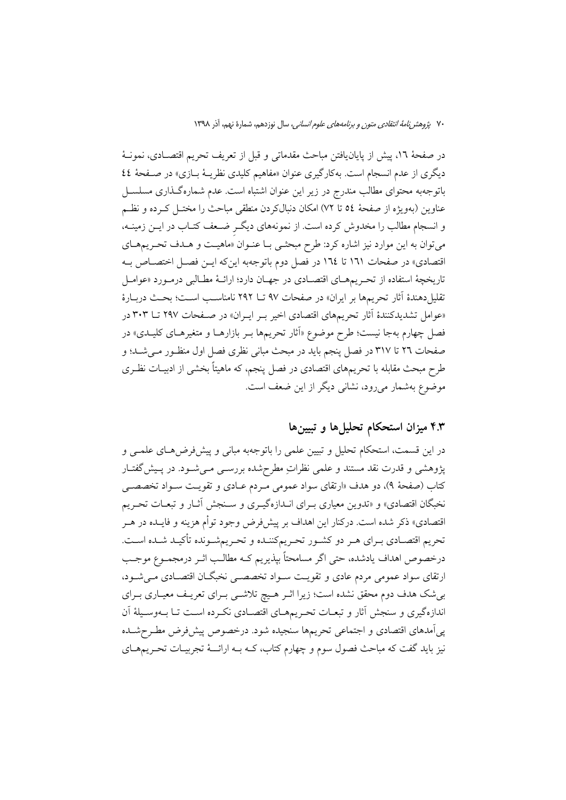در صفحهٔ ۱۲، پیش از پایان یافتن مباحث مقدماتی و قبل از تعریف تحریم اقتصـادی، نمونـهٔ دیگری از عدم انسجام است. بهکارگیری عنوان «مفاهیم کلیدی نظریـهٔ بـازی» در صـفحهٔ ٤٤ باتوجهبه محتوای مطالب مندرج در زیر این عنوان اشتباه است. عدم شمارهگذاری مسلســل عناوین (بهویژه از صفحهٔ ٥٤ تا ٧٢) امکان دنبالکردن منطقی مباحث را مختـل کـرده و نظـم و انسجام مطالب را مخدوش کرده است. از نمونههای دیگـر ضـعف کتــاب در ایــن زمینــه، می توان به این موارد نیز اشاره کرد: طرح مبحثـی بـا عنـوان «ماهیـت و هـدف تحـریمهـای اقتصادي» در صفحات ١٦١ تا ١٦٤ در فصل دوم باتوجهبه اينكه ايـن فصـل اختصـاص بـه تاریخچهٔ استفاده از تحـریمهـای اقتصـادی در جهـان دارد؛ ارائـهٔ مطـالبی درمـورد «عوامـل تقليل(دهندهٔ آثار تحريمها بر ايران» در صفحات ٩٧ تــا ٢٩٢ نامناسـب اسـت؛ بحـث دربـارهٔ «عوامل تشدیدکنندهٔ آثار تحریمهای اقتصادی اخیر بـر ایـران» در صـفحات ۲۹۷ تــا ۳۰۳ در فصل چهارم بهجا نیست؛ طرح موضوع «آثار تحریمها بـر بازارهـا و متغیرهـای کلیـدی» در صفحات ٢٦ تا ٣١٧ در فصل پنجم بايد در مبحث مباني نظري فصل اول منظـور مـيشـد؛ و طرح مبحث مقابله با تحریمهای اقتصادی در فصل پنجم، که ماهیتاً بخشی از ادبیـات نظـری موضوع بهشمار میرود، نشانی دیگر از این ضعف است.

# ۴.۳ میزان استحکام تحلیلها و تبیینها

در این قسمت، استحکام تحلیل و تبیین علمی را باتوجهبه مبانی و پیشفرضهای علمـی و پژوهشی و قدرت نقد مستند و علمی نظراتِ مطرحشده بررســی مــیشــود. در پــیش&فتــار كتاب (صفحهٔ ۹)، دو هدف «ارتقاى سواد عمومى مـردم عـادى و تقويـت سـواد تخصصـي نخبگان اقتصادي» و «تدوين معياري بـراي انــدازهگيـري و ســنجش أثــار و تبعــات تحـريم اقتصادی» ذکر شده است. درکنار این اهداف بر پیشفرض وجود توأم هزینه و فایــده در هــر تحریم اقتصـادي بـراي هـر دو كشـور تحـریمكننـده و تحـریمشـونده تأكیـد شـده اسـت. درخصوص اهداف يادشده، حتى اگر مسامحتاً بپذيريم كـه مطالـب اثــر درمجمــوع موجــب ارتقای سواد عمومی مردم عادی و تقویت سـواد تخصصـی نخبگـان اقتصـادی مـی شـود، بی شک هدف دوم محقق نشده است؛ زیرا اثـر هـیچ تلاشـی بـرای تعریـف معیـاری بـرای اندازهگیری و سنجش آثار و تبعــات تحــریـمهــای اقتصــادی نکــرده اســت تــا بــهوســیلهٔ آن یی اَمدهای اقتصادی و اجتماعی تحریمها سنجیده شود. درخصوص پیشفر ض مطـرحشـده نیز باید گفت که مباحث فصول سوم و چهارم کتاب، کــه بــه ارائــــهٔ تجربیــات تحــر یـمهــای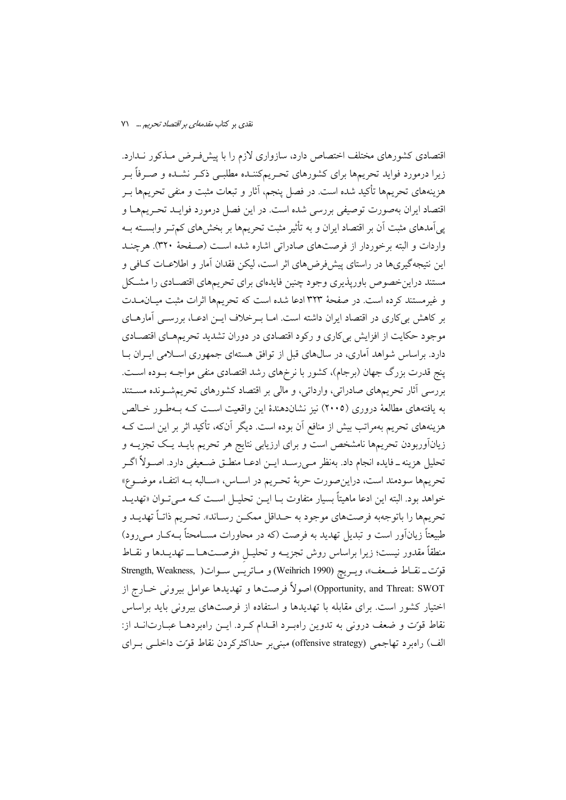اقتصادی کشورهای مختلف اختصاص دارد، سازواری لازم را با پیش فرض مـذکور نـدارد. زیرا درمورد فواید تحریمها برای کشورهای تحـریمکننـده مطلبـی ذکـر نشـده و صـرفاً بـر هزینههای تحریمها تأکید شده است. در فصل پنجم، آثار و تبعات مثبت و منفی تحریمها بـر اقتصاد ايران بهصورت توصيفي بررسي شده است. در اين فصل درمورد فوايـد تحـريمهـا و پی اَمدهای مثبت اَن بر اقتصاد ایران و به تأثیر مثبت تحریمها بر بخشهای کمتـر وابســته بــه واردات و البته برخوردار از فرصتهای صادراتی اشاره شده است (صفحهٔ ۳۲۰). هرچنـد این نتیجهگیریها در راستای پیشفررضهای اثر است، لیکن فقدان آمار و اطلاعـات کـافی و مستند دراینخصوص باورپذیری وجود چنین فایدهای برای تحریمهای اقتصادی را مشکل و غیر مستند کرده است. در صفحهٔ ۳۲۳ ادعا شده است که تحریمها اثرات مثبت میـان.سدت بر کاهش بی کاری در اقتصاد ایران داشته است. امـا بـرخلاف ایـن ادعـا، بررسـی آمارهـای موجود حکایت از افزایش بی کاری و رکود اقتصادی در دوران تشدید تحریمهای اقتصادی دارد. براساس شواهد آماری، در سالهای قبل از توافق هستهای جمهوری اسـلامی ایـران بـا پنج قدرت بزرگ جهان (برجام)، کشور با نرخهای رشد اقتصادی منفی مواجـه بــوده اســت. بررسی آثار تحریمهای صادراتی، وارداتی، و مالی بر اقتصاد کشورهای تحریم شونده مستند به یافتههای مطالعهٔ دروری (۲۰۰۵) نیز نشاندهندهٔ این واقعیت است کـه بـهطـور خـالص هزینههای تحریم بهمراتب بیش از منافع آن بوده است. دیگر آنکه، تأکید اثر بر این است کـه زیانآوربودن تحریمها نامشخص است و برای ارزیابی نتایج هر تحریم بایـد یـک تجزیــه و تحليل هزينه ــ فايده انجام داد. بهنظر مــي(ســد ايــن ادعــا منطــق ضــعيفي دارد. اصــولاً اگــر تحريمها سودمند است، دراين صورت حربهٔ تحـريم در اسـاس، «سـالبه بــه انتفـاء موضــوع» خواهد بود. البته این ادعا ماهیتاً بسیار متفاوت بــا ایــن تحلیــل اســت کــه مــى تــوان «تهدیــد تحريمها را باتوجهبه فرصتهاي موجود به حـداقل ممكــن رســاند». تحـريم ذاتــأ تهديــد و طبیعتاً زیانآور است و تبدیل تهدید به فرصت (که در محاورات مســامحتاً بــهکـار مــی٫رود) منطقاً مقدور نیست؛ زیرا براساس روش تجزیــه و تحلیــل «فرصـــتـهــا ــــ تهدیــدها و نقــاط قوّت\_نقـاط ضـعف»، ويـريج (Weihrich 1990) و مـاتريس سـوات( Strength, Weakness, Opportunity, and Threat: SWOT) اصولاً فرصتها و تهديدها عوامل بيروني خــارج از اختیار کشور است. برای مقابله با تهدیدها و استفاده از فرصتهای بیرونی باید براساس نقاط قوّت و ضعف درونی به تدوین راهبـرد اقــدام کــرد. ایــن راهبردهــا عبــارت|نــد از: الف) راهبرد تهاجمي (offensive strategy) مبني بر حداكثركردن نقاط قوّت داخلـي بـراي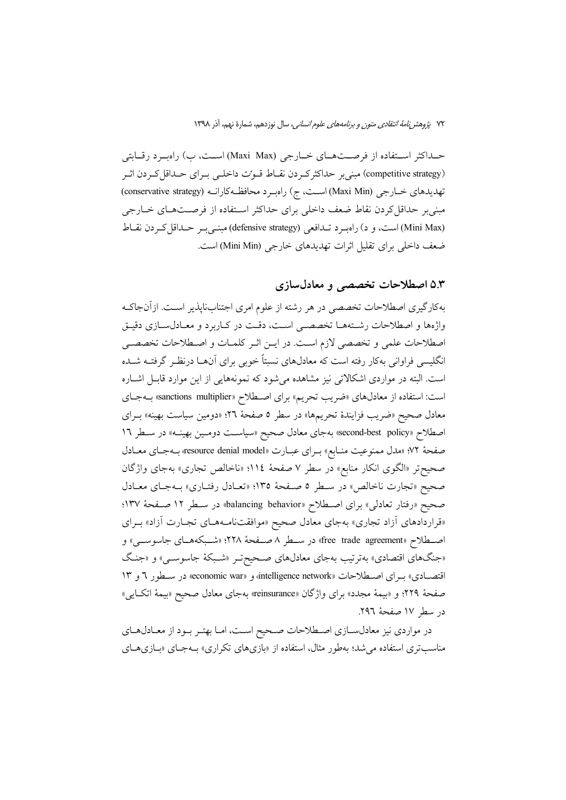حــداكثر اســتفاده از فرصــتهــاي خــارجي (Maxi Max) اســت، ب) راهبـرد رقــابتي (competitive strategy) مبنى بر حداكثر كردن نقـاط قـوت داخلـى بـراي حـداقل كـردن اثـر تهدیدهای خـارجی (Maxi Min) اسـت، ج) راهبـرد محافظـهکارانــه (conservative strategy) مبنیبر حداقل کردن نقاط ضعف داخلی برای حداکثر استفاده از فرصـتهـای خـارجی (Mini Max) است، و د) راهبـرد تــدافعي (defensive strategy) مبنــي بـر حــداقل كـردن نقــاط ضعف داخلی برای تقلیل اثرات تهدیدهای خارجی (Mini Min) است.

#### ۵.۳ اصطلاحات تخصصی و معادلسازی

بهکارگیری اصطلاحات تخصصی در هر رشته از علوم امری اجتنابنایذیر است. ازآنجاک واژهها و اصطلاحات رشتهها تخصصی است، دقت در کاربرد و معادل سازی دقیق اصطلاحات علمي وتخصصي لازم است. در ايـن اثـر كلمـات و اصـطلاحات تخصصـي انگلیسی فراوانی بهکار رفته است که معادلهای نسبتاً خوبی برای آنهـا درنظـر گرفتــه شــده است. البته در مواردی اشکالاتی نیز مشاهده می شود که نمونههایی از این موارد قابـل اشـاره است: استفاده از معادلهای «ضریب تحریم» برای اصطلاح «sanctions multiplier» به جای معادل صحيح «ضريب فزايندهٔ تحريمها» در سطر ٥ صفحهٔ ٢٦؛ «دومين سياست بهينه» بـراي اصطلاح «second-best policy» بهجای معادل صحیح «سیاست دومین بهینه» در سطر ١٦ صفحهٔ ۷۲؛ «مدل ممنوعیت منـابع» بـرای عبـارت «resource denial model» بــهجـای معــادل صحیح تر «الگوی انکار منابع» در سطر ۷ صفحهٔ ۱۱٤؛ «ناخالص تجاری» بهجای واژگان صحيح «تجارت ناخالص» در سطر ٥ صفحهٔ ١٣٥؛ «تعـادل رفتـاري» بــهجـاي معـادل صحيح «رفتار تعادلي» براى اصطلاح «balancing behavior» در سـطر ١٢ صـفحهٔ ١٣٧؛ «قراردادهای أزاد تجاری» بهجای معادل صحیح «موافقتنامـههـای تجـارت أزاد» بــرای اصطلاح «free trade agreement» در سـطر ٨ صـفحهٔ ٢٢٨؛ «شـبکههـای جاسوســي» و «جنگهای اقتصادی» بهترتیب بهجای معادلهای صـحیحتـر «شـبکهٔ جاسوسـی» و «جنـگ اقتصـادي» بـراي اصـطلاحات «intelligence network» و «economic war» در سـطور ٦ و ١٣ صفحهٔ ٢٢٩؛ و «بيمهٔ مجدد» براي واژگان «reinsurance» بهجاي معادل صحيح «بيمهٔ اتكـايي» در سطر ١٧ صفحة ٢٩٦.

در مواردي نيز معادلسـازي اصـطلاحات صـحيح اسـت، امـا بهتـر بـود از معـادلهـاي مناسبتری استفاده می شد؛ بهطور مثال، استفاده از «بازیهای تکراری» بـهجـای «بـازیهـای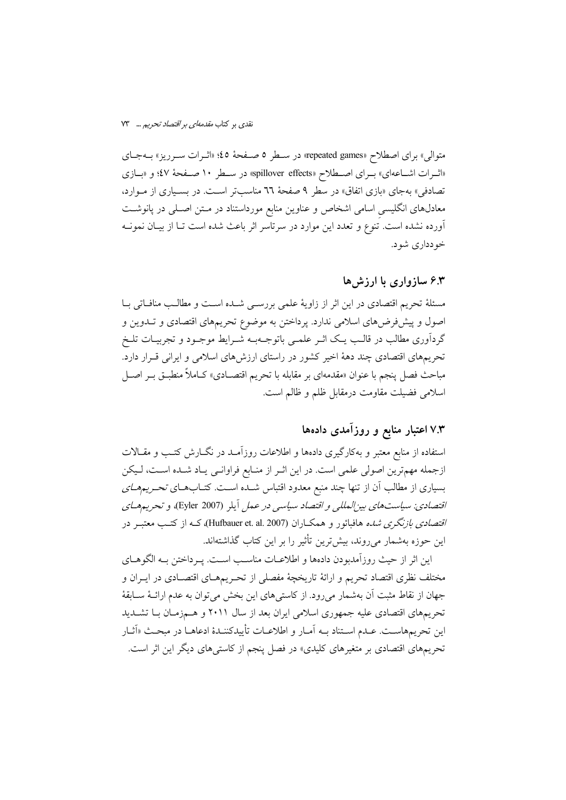متوالي» براي اصطلاح «repeated games» در سطر ٥ صفحهٔ ٤٥؛ «اثرات سرريز» بــهجـاي «اثـرات اشـاعهای» بـرای اصـطلاح «spillover effects» در سـطر ۱۰ صـفحهٔ ٤٧؛ و «بــازی تصادفی» بهجای «بازی اتفاق» در سطر ۹ صفحهٔ ٦٦ مناسبتر است. در بسـیاری از مـوارد، معادلهای انگلیسی اسامی اشخاص و عناوین منابع مورداستناد در مـتن اصـلی در پانوشـت آورده نشده است. تنوع و تعدد این موارد در سرتاسر اثر باعث شده است تـا از بیـان نمونــه خو ددارې شو د.

## ۶.۳ سازواری با ارزش ها

مسئلهٔ تحریم اقتصادی در این اثر از زاویهٔ علمی بررسـی شـده اسـت و مطالـب منافـاتی بـا اصول و پیش فرضهای اسلامی ندارد. پرداختن به موضوع تحریمهای اقتصادی و تــدوین و گردآوری مطالب در قالـب یـک اثـر علمـی باتوجــهبـه شــرایط موجــود و تجربیــات تلــخ تحریمهای اقتصادی چند دههٔ اخیر کشور در راستای ارزشهای اسلامی و ایرانی قـرار دارد. مباحث فصل پنجم با عنوان «مقدمهاي بر مقابله با تحريم اقتصــادي» كــاملاً منطبــق بــر اصــل اسلامی فضیلت مقاومت درمقابل ظلم و ظالم است.

# ۷.۳ اعتبار منابع و روزآمدی دادهها

استفاده از منابع معتبر و بهکارگیری دادهها و اطلاعات روزآمـد در نگــارش کتــب و مقــالات ازجمله مهم ترین اصولی علمی است. در این اثـر از منـابع فراوانـی یـاد شـده اسـت، لـیکن بسیاری از مطالب آن از تنها چند منبع معدود اقتباس شــده اسـت. کتــابهــای *تحــریـمهــای* اقتصادي: سياست هاي بين المللي و اقتصاد سياسي در عمل آيلر (Eyler 2007)، و تحريم هـاي /قتص*ادی بازنگری شده* هافبائور و همکـاران (Hufbauer et. al. 2007) کـه از کتـب معتبـر در این حوزه بهشمار میروند، بیشترین تأثیر را بر این کتاب گذاشتهاند.

اين اثر از حيث روزآمدبودن دادهها و اطلاعـات مناسـب اسـت. پـرداختن بـه الگوهـاي مختلف نظري اقتصاد تحريم و ارائهٔ تاريخچهٔ مفصلي از تحـريمهـاي اقتصـادي در ايــران و جهان از نقاط مثبت آن بهشمار میرود. از کاستیهای این بخش میتوان به عدم ارائــهٔ ســابقهٔ تحریمهای اقتصادی علیه جمهوری اسلامی ایران بعد از سال ۲۰۱۱ و هـمزمـان بـا تشــدید اين تحريمهاســت. عــدم اســتناد بــه اَمــار و اطلاعــات تأييدكننــدۀ ادعاهــا در مبحــث «اَثــار تحریمهای اقتصادی بر متغیرهای کلیدی» در فصل پنجم از کاستیهای دیگر این اثر است.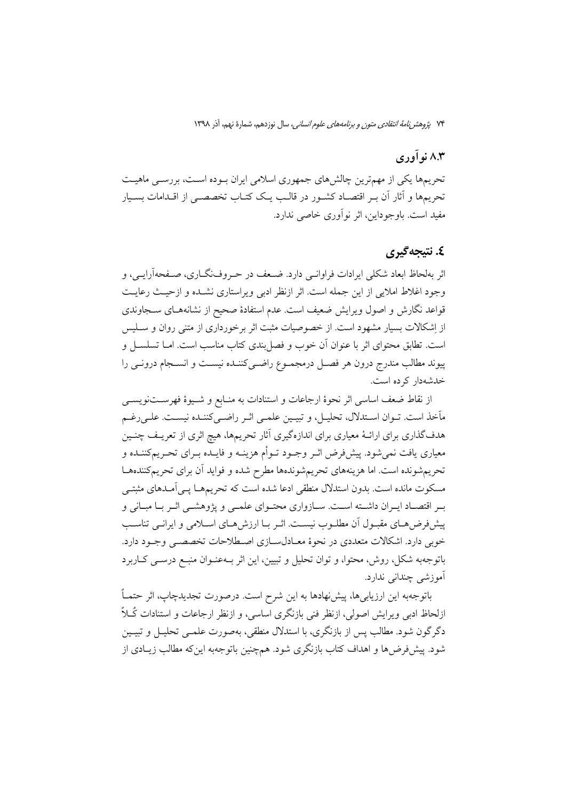## ۸.۳ نو آور ي

تحریمها یکی از مهمترین چالشهای جمهوری اسلامی ایران بـوده اسـت، بررســی ماهیــت تحریمها و آثار آن بـر اقتصـاد کشـور در قالـب یـک کتـاب تخصصـی از اقـدامات بسـیار مفيد است. باوجوداين، اثر نوآوري خاصي ندارد.

# ٤. نتيجەگېرى

اثر بهلحاظ ابعاد شکلی ایرادات فراوانسی دارد. ضـعف در حـروفنگــاری، صــفحهآرایــی، و وجود اغلاط املایی از این جمله است. اثر ازنظر ادبی ویراستاری نشـده و ازحیـث رعایـت قواعد نگارش و اصول ویرایش ضعیف است. عدم استفادهٔ صحیح از نشانههـای ســجاوندی از إشکالات بسیار مشهود است. از خصوصیات مثبت اثر برخورداری از متنی روان و سـلیس است. تطابق محتواي اثر با عنوان آن خوب و فصل بندي كتاب مناسب است. امـا تسلسـل و پیوند مطالب مندرج درون هر فصـل درمجمـوع راضـییکننـده نیسـت و انسـجام درونـی را خدشهدار کرده است.

از نقاط ضعف اساسی اثر نحوهٔ ارجاعات و استنادات به منـابع و شـيوهٔ فهرســتنويســی مأخذ است. تـوان اسـتدلال، تحليـل، و تبيـين علمـي اثـر راضـيكننـده نيسـت. علـيرغـم هدفگذاری برای ارائـهٔ معیاری برای اندازهگیری آثار تحریمها، هیچ اثری از تعریـف چنـین معیاری یافت نمیشود. پیشفرض اثـر وجـود تـوأم هزینــه و فایــده بــرای تحــریمکننــده و تحریم شونده است. اما هزینههای تحریم شوندهها مطرح شده و فواید أن برای تحریم کنندههـا مسکوت مانده است. بدون استدلال منطقی ادعا شده است که تحریمهـا پـی|مـدهای مثبتـی بـر اقتصـاد ايـران داشــته اســت. ســازواري محتــواي علمــي و پژوهشــي اثــر بــا مبــاني و پیش فرض هبای مقبـول آن مطلـوب نیسـت. اثـر بـا ارزش هـای اسـلامی و ایرانـی تناسـب خوبي دارد. اشكالات متعددي در نحوهٔ معـادلسـازي اصـطلاحات تخصصـي وجـود دارد. باتوجهبه شکل، روش، محتوا، و توان تحلیل و تبیین، این اثر بـهعنـوان منبـع درســی کــاربرد آموزشي چنداني ندارد.

باتوجهبه این ارزیابیها، پیش:هادها به این شرح است. درصورت تجدیدچاپ، اثر حتمـاً ازلحاظ ادبی ویرایش اصولی، ازنظر فنی بازنگری اساسی، و ازنظر ارجاعات و استنادات کُلاً دگرگون شود. مطالب پس از بازنگری، با استدلال منطقی، بهصورت علمـبی تحلیـل و تبیـین شود. پیش فرض ها و اهداف کتاب بازنگری شود. هم چنین باتوجهبه این که مطالب زیــادی از